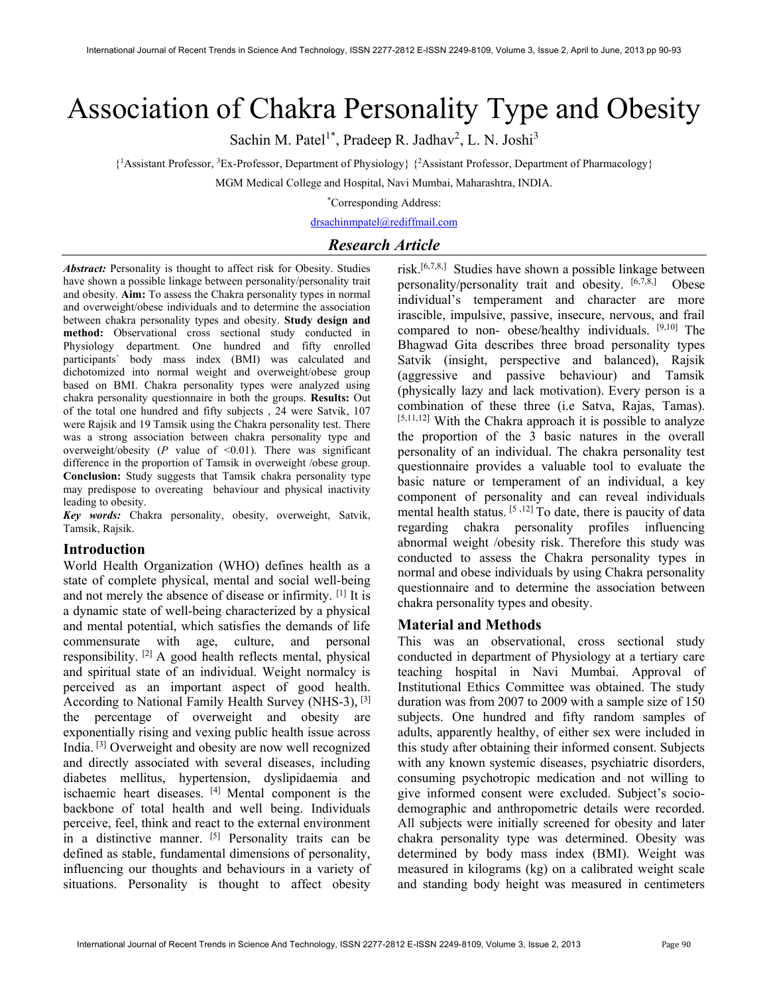# Association of Chakra Personality Type and Obesity

Sachin M. Patel<sup>1\*</sup>, Pradeep R. Jadhav<sup>2</sup>, L. N. Joshi<sup>3</sup>

{ <sup>1</sup>Assistant Professor, <sup>3</sup>Ex-Professor, Department of Physiology} {<sup>2</sup>Assistant Professor, Department of Pharmacology}

MGM Medical College and Hospital, Navi Mumbai, Maharashtra, INDIA.

\*Corresponding Address:

drsachinmpatel@rediffmail.com

# Research Article

Abstract: Personality is thought to affect risk for Obesity. Studies have shown a possible linkage between personality/personality trait and obesity. Aim: To assess the Chakra personality types in normal and overweight/obese individuals and to determine the association between chakra personality types and obesity. Study design and method: Observational cross sectional study conducted in Physiology department. One hundred and fifty enrolled participants` body mass index (BMI) was calculated and dichotomized into normal weight and overweight/obese group based on BMI. Chakra personality types were analyzed using chakra personality questionnaire in both the groups. Results: Out of the total one hundred and fifty subjects , 24 were Satvik, 107 were Rajsik and 19 Tamsik using the Chakra personality test. There was a strong association between chakra personality type and overweight/obesity ( $P$  value of <0.01). There was significant difference in the proportion of Tamsik in overweight /obese group. Conclusion: Study suggests that Tamsik chakra personality type may predispose to overeating behaviour and physical inactivity leading to obesity.

Key words: Chakra personality, obesity, overweight, Satvik, Tamsik, Rajsik.

# Introduction

World Health Organization (WHO) defines health as a state of complete physical, mental and social well-being and not merely the absence of disease or infirmity. [1] It is a dynamic state of well-being characterized by a physical and mental potential, which satisfies the demands of life commensurate with age, culture, and personal responsibility. [2] A good health reflects mental, physical and spiritual state of an individual. Weight normalcy is perceived as an important aspect of good health. According to National Family Health Survey (NHS-3), [3] the percentage of overweight and obesity are exponentially rising and vexing public health issue across India. [3] Overweight and obesity are now well recognized and directly associated with several diseases, including diabetes mellitus, hypertension, dyslipidaemia and ischaemic heart diseases. [4] Mental component is the backbone of total health and well being. Individuals perceive, feel, think and react to the external environment in a distinctive manner. [5] Personality traits can be defined as stable, fundamental dimensions of personality, influencing our thoughts and behaviours in a variety of situations. Personality is thought to affect obesity

risk.[6,7,8,] Studies have shown a possible linkage between personality/personality trait and obesity. [6,7,8,] Obese individual's temperament and character are more irascible, impulsive, passive, insecure, nervous, and frail compared to non- obese/healthy individuals. [9,10] The Bhagwad Gita describes three broad personality types Satvik (insight, perspective and balanced), Rajsik (aggressive and passive behaviour) and Tamsik (physically lazy and lack motivation). Every person is a combination of these three (i.e Satva, Rajas, Tamas).  $[5,11,12]$  With the Chakra approach it is possible to analyze the proportion of the 3 basic natures in the overall personality of an individual. The chakra personality test questionnaire provides a valuable tool to evaluate the basic nature or temperament of an individual, a key component of personality and can reveal individuals mental health status. [5 ,12] To date, there is paucity of data regarding chakra personality profiles influencing abnormal weight /obesity risk. Therefore this study was conducted to assess the Chakra personality types in normal and obese individuals by using Chakra personality questionnaire and to determine the association between chakra personality types and obesity.

## Material and Methods

This was an observational, cross sectional study conducted in department of Physiology at a tertiary care teaching hospital in Navi Mumbai. Approval of Institutional Ethics Committee was obtained. The study duration was from 2007 to 2009 with a sample size of 150 subjects. One hundred and fifty random samples of adults, apparently healthy, of either sex were included in this study after obtaining their informed consent. Subjects with any known systemic diseases, psychiatric disorders, consuming psychotropic medication and not willing to give informed consent were excluded. Subject's sociodemographic and anthropometric details were recorded. All subjects were initially screened for obesity and later chakra personality type was determined. Obesity was determined by body mass index (BMI). Weight was measured in kilograms (kg) on a calibrated weight scale and standing body height was measured in centimeters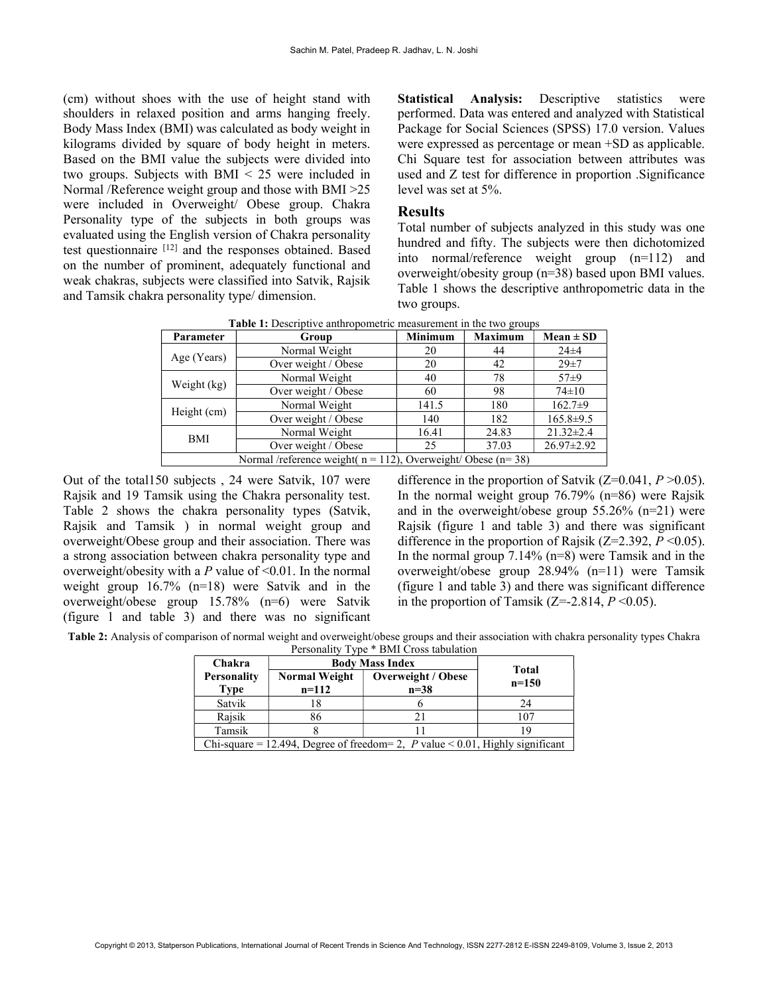(cm) without shoes with the use of height stand with shoulders in relaxed position and arms hanging freely. Body Mass Index (BMI) was calculated as body weight in kilograms divided by square of body height in meters. Based on the BMI value the subjects were divided into two groups. Subjects with BMI < 25 were included in Normal /Reference weight group and those with BMI >25 were included in Overweight/ Obese group. Chakra Personality type of the subjects in both groups was evaluated using the English version of Chakra personality test questionnaire [12] and the responses obtained. Based on the number of prominent, adequately functional and weak chakras, subjects were classified into Satvik, Rajsik and Tamsik chakra personality type/ dimension.

Statistical Analysis: Descriptive statistics were performed. Data was entered and analyzed with Statistical Package for Social Sciences (SPSS) 17.0 version. Values were expressed as percentage or mean +SD as applicable. Chi Square test for association between attributes was used and Z test for difference in proportion .Significance level was set at 5%.

#### Results

Total number of subjects analyzed in this study was one hundred and fifty. The subjects were then dichotomized into normal/reference weight group (n=112) and overweight/obesity group (n=38) based upon BMI values. Table 1 shows the descriptive anthropometric data in the two groups.

| Parameter                                                             | Group               | <b>Minimum</b> | <b>Maximum</b> | $Mean \pm SD$    |  |  |
|-----------------------------------------------------------------------|---------------------|----------------|----------------|------------------|--|--|
| Age (Years)                                                           | Normal Weight       | 20             | 44             | $24\pm4$         |  |  |
|                                                                       | Over weight / Obese | 20             | 42             | $29 + 7$         |  |  |
| Weight (kg)                                                           | Normal Weight       | 40             | 78             | $57 + 9$         |  |  |
|                                                                       | Over weight / Obese | 60             | 98             | $74 \pm 10$      |  |  |
| Height (cm)                                                           | Normal Weight       | 141.5          | 180            | $162.7+9$        |  |  |
|                                                                       | Over weight / Obese | 140            | 182            | $165.8 \pm 9.5$  |  |  |
| BMI                                                                   | Normal Weight       | 16.41          | 24.83          | $21.32 \pm 2.4$  |  |  |
|                                                                       | Over weight / Obese | 25             | 37.03          | $26.97 \pm 2.92$ |  |  |
| Normal /reference weight( $n = 112$ ), Overweight/ Obese ( $n = 38$ ) |                     |                |                |                  |  |  |

Table 1: Descriptive anthropometric measurement in the two groups

Out of the total150 subjects , 24 were Satvik, 107 were Rajsik and 19 Tamsik using the Chakra personality test. Table 2 shows the chakra personality types (Satvik, Rajsik and Tamsik ) in normal weight group and overweight/Obese group and their association. There was a strong association between chakra personality type and overweight/obesity with a  $P$  value of <0.01. In the normal weight group 16.7% (n=18) were Satvik and in the overweight/obese group 15.78% (n=6) were Satvik (figure 1 and table 3) and there was no significant difference in the proportion of Satvik ( $Z=0.041, P>0.05$ ). In the normal weight group 76.79% (n=86) were Rajsik and in the overweight/obese group 55.26% (n=21) were Rajsik (figure 1 and table 3) and there was significant difference in the proportion of Rajsik ( $Z=2.392, P<0.05$ ). In the normal group  $7.14\%$  (n=8) were Tamsik and in the overweight/obese group 28.94% (n=11) were Tamsik (figure 1 and table 3) and there was significant difference in the proportion of Tamsik (Z=-2.814,  $P \le 0.05$ ).

Table 2: Analysis of comparison of normal weight and overweight/obese groups and their association with chakra personality types Chakra Personality Type \* BMI Cross tabulation

| Chakra                                                                        | <b>Body Mass Index</b>          |                                     |                         |  |  |
|-------------------------------------------------------------------------------|---------------------------------|-------------------------------------|-------------------------|--|--|
| <b>Personality</b><br>Type                                                    | <b>Normal Weight</b><br>$n=112$ | <b>Overweight / Obese</b><br>$n=38$ | <b>Total</b><br>$n=150$ |  |  |
| Satvik                                                                        |                                 |                                     | 24                      |  |  |
| Rajsik                                                                        | 86                              | 21                                  | 107                     |  |  |
| Tamsik                                                                        |                                 |                                     |                         |  |  |
| Chi-square = 12.494, Degree of freedom= 2, P value < 0.01, Highly significant |                                 |                                     |                         |  |  |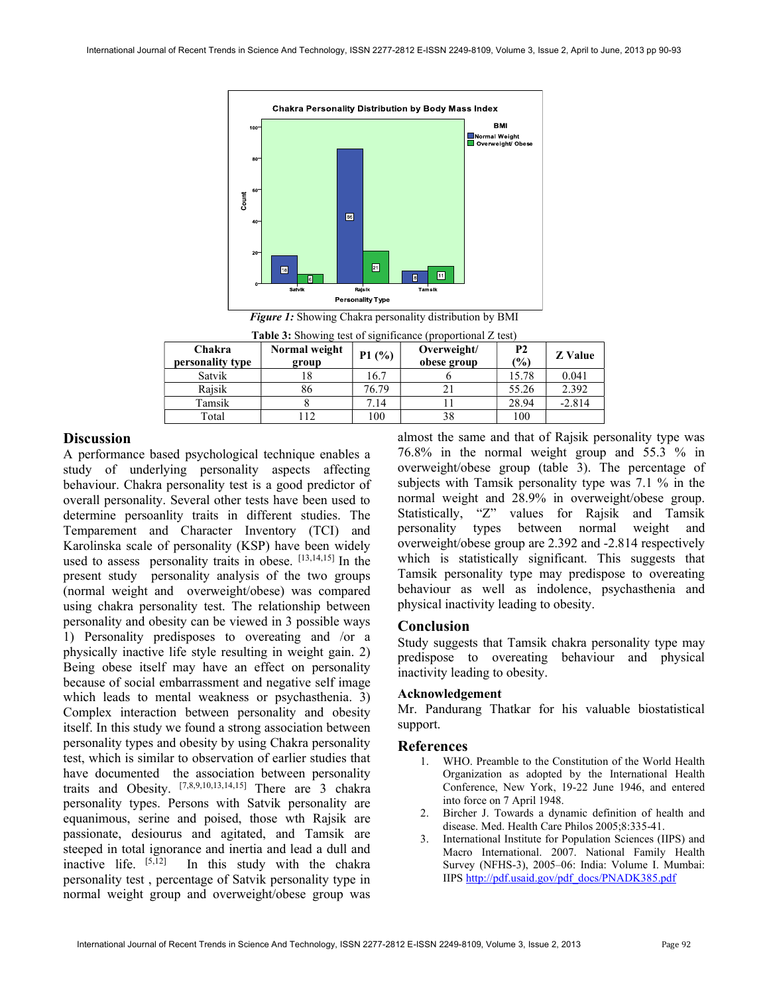

Figure 1: Showing Chakra personality distribution by BMI

| Chakra<br>personality type | Normal weight<br>group | P1(%) | Overweight/<br>obese group | <b>P2</b><br>(%) | <b>Z</b> Value |
|----------------------------|------------------------|-------|----------------------------|------------------|----------------|
| Satvik                     |                        | 16.7  |                            | 15.78            | 0.041          |
| Raisik                     | 86                     | 76.79 |                            | 55.26            | 2.392          |
| Tamsik                     |                        | 7.14  |                            | 28.94            | $-2.814$       |
| Total                      | 12                     | 100   | 38                         | 100              |                |

Table 3: Showing test of significance (proportional Z test)

# **Discussion**

A performance based psychological technique enables a study of underlying personality aspects affecting behaviour. Chakra personality test is a good predictor of overall personality. Several other tests have been used to determine persoanlity traits in different studies. The Temparement and Character Inventory (TCI) and Karolinska scale of personality (KSP) have been widely used to assess personality traits in obese. [13,14,15] In the present study personality analysis of the two groups (normal weight and overweight/obese) was compared using chakra personality test. The relationship between personality and obesity can be viewed in 3 possible ways 1) Personality predisposes to overeating and /or a physically inactive life style resulting in weight gain. 2) Being obese itself may have an effect on personality because of social embarrassment and negative self image which leads to mental weakness or psychasthenia. 3) Complex interaction between personality and obesity itself. In this study we found a strong association between personality types and obesity by using Chakra personality test, which is similar to observation of earlier studies that have documented the association between personality traits and Obesity. [7,8,9,10,13,14,15] There are 3 chakra personality types. Persons with Satvik personality are equanimous, serine and poised, those wth Rajsik are passionate, desiourus and agitated, and Tamsik are steeped in total ignorance and inertia and lead a dull and inactive life. [5,12] In this study with the chakra In this study with the chakra personality test , percentage of Satvik personality type in normal weight group and overweight/obese group was

almost the same and that of Rajsik personality type was 76.8% in the normal weight group and 55.3 % in overweight/obese group (table 3). The percentage of subjects with Tamsik personality type was 7.1 % in the normal weight and 28.9% in overweight/obese group. Statistically, "Z" values for Rajsik and Tamsik personality types between normal weight and overweight/obese group are 2.392 and -2.814 respectively which is statistically significant. This suggests that Tamsik personality type may predispose to overeating behaviour as well as indolence, psychasthenia and physical inactivity leading to obesity.

## Conclusion

Study suggests that Tamsik chakra personality type may predispose to overeating behaviour and physical inactivity leading to obesity.

## Acknowledgement

Mr. Pandurang Thatkar for his valuable biostatistical support.

## References

- 1. WHO. Preamble to the Constitution of the World Health Organization as adopted by the International Health Conference, New York, 19-22 June 1946, and entered into force on 7 April 1948.
- 2. Bircher J. Towards a dynamic definition of health and disease. Med. Health Care Philos 2005;8:335-41.
- 3. International Institute for Population Sciences (IIPS) and Macro International. 2007. National Family Health Survey (NFHS-3), 2005–06: India: Volume I. Mumbai: IIPS http://pdf.usaid.gov/pdf\_docs/PNADK385.pdf